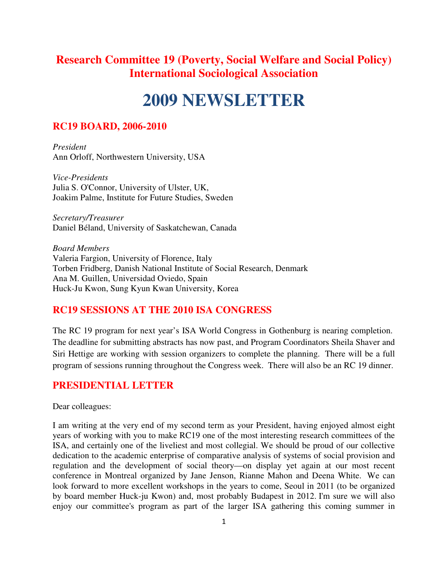# **Research Committee 19 (Poverty, Social Welfare and Social Policy) International Sociological Association**

# **2009 NEWSLETTER**

### **RC19 BOARD, 2006-2010**

*President*  Ann Orloff, Northwestern University, USA

*Vice-Presidents*  Julia S. O'Connor, University of Ulster, UK, Joakim Palme, Institute for Future Studies, Sweden

*Secretary/Treasurer*  Daniel Béland, University of Saskatchewan, Canada

*Board Members*  Valeria Fargion, University of Florence, Italy Torben Fridberg, Danish National Institute of Social Research, Denmark Ana M. Guillen, Universidad Oviedo, Spain Huck-Ju Kwon, Sung Kyun Kwan University, Korea

### **RC19 SESSIONS AT THE 2010 ISA CONGRESS**

The RC 19 program for next year's ISA World Congress in Gothenburg is nearing completion. The deadline for submitting abstracts has now past, and Program Coordinators Sheila Shaver and Siri Hettige are working with session organizers to complete the planning. There will be a full program of sessions running throughout the Congress week. There will also be an RC 19 dinner.

### **PRESIDENTIAL LETTER**

Dear colleagues:

I am writing at the very end of my second term as your President, having enjoyed almost eight years of working with you to make RC19 one of the most interesting research committees of the ISA, and certainly one of the liveliest and most collegial. We should be proud of our collective dedication to the academic enterprise of comparative analysis of systems of social provision and regulation and the development of social theory—on display yet again at our most recent conference in Montreal organized by Jane Jenson, Rianne Mahon and Deena White. We can look forward to more excellent workshops in the years to come, Seoul in 2011 (to be organized by board member Huck-ju Kwon) and, most probably Budapest in 2012. I'm sure we will also enjoy our committee's program as part of the larger ISA gathering this coming summer in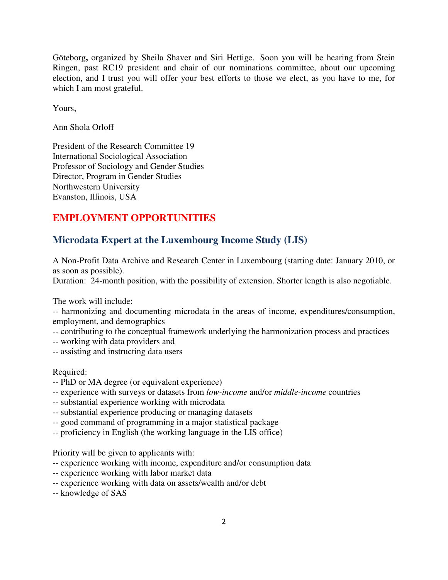Göteborg**,** organized by Sheila Shaver and Siri Hettige. Soon you will be hearing from Stein Ringen, past RC19 president and chair of our nominations committee, about our upcoming election, and I trust you will offer your best efforts to those we elect, as you have to me, for which I am most grateful.

Yours,

Ann Shola Orloff

President of the Research Committee 19 International Sociological Association Professor of Sociology and Gender Studies Director, Program in Gender Studies Northwestern University Evanston, Illinois, USA

# **EMPLOYMENT OPPORTUNITIES**

### **Microdata Expert at the Luxembourg Income Study (LIS)**

A Non-Profit Data Archive and Research Center in Luxembourg (starting date: January 2010, or as soon as possible).

Duration: 24-month position, with the possibility of extension. Shorter length is also negotiable.

The work will include:

-- harmonizing and documenting microdata in the areas of income, expenditures/consumption, employment, and demographics

- -- contributing to the conceptual framework underlying the harmonization process and practices
- -- working with data providers and
- -- assisting and instructing data users

#### Required:

- -- PhD or MA degree (or equivalent experience)
- -- experience with surveys or datasets from *low-income* and/or *middle-income* countries
- -- substantial experience working with microdata
- -- substantial experience producing or managing datasets
- -- good command of programming in a major statistical package
- -- proficiency in English (the working language in the LIS office)

Priority will be given to applicants with:

- -- experience working with income, expenditure and/or consumption data
- -- experience working with labor market data
- -- experience working with data on assets/wealth and/or debt
- -- knowledge of SAS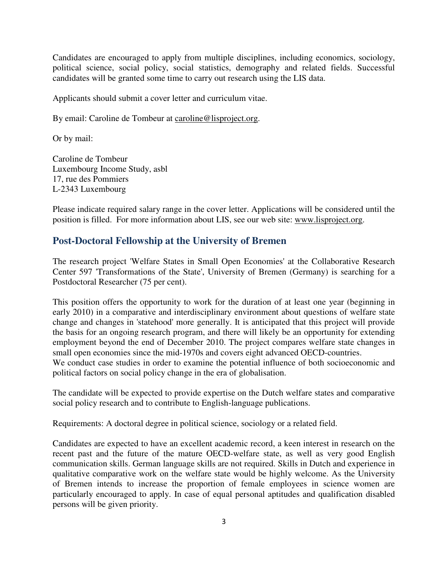Candidates are encouraged to apply from multiple disciplines, including economics, sociology, political science, social policy, social statistics, demography and related fields. Successful candidates will be granted some time to carry out research using the LIS data.

Applicants should submit a cover letter and curriculum vitae.

By email: Caroline de Tombeur at caroline@lisproject.org.

Or by mail:

Caroline de Tombeur Luxembourg Income Study, asbl 17, rue des Pommiers L-2343 Luxembourg

Please indicate required salary range in the cover letter. Applications will be considered until the position is filled. For more information about LIS, see our web site: www.lisproject.org.

### **Post-Doctoral Fellowship at the University of Bremen**

The research project 'Welfare States in Small Open Economies' at the Collaborative Research Center 597 'Transformations of the State', University of Bremen (Germany) is searching for a Postdoctoral Researcher (75 per cent).

This position offers the opportunity to work for the duration of at least one year (beginning in early 2010) in a comparative and interdisciplinary environment about questions of welfare state change and changes in 'statehood' more generally. It is anticipated that this project will provide the basis for an ongoing research program, and there will likely be an opportunity for extending employment beyond the end of December 2010. The project compares welfare state changes in small open economies since the mid-1970s and covers eight advanced OECD-countries. We conduct case studies in order to examine the potential influence of both socioeconomic and political factors on social policy change in the era of globalisation.

The candidate will be expected to provide expertise on the Dutch welfare states and comparative social policy research and to contribute to English-language publications.

Requirements: A doctoral degree in political science, sociology or a related field.

Candidates are expected to have an excellent academic record, a keen interest in research on the recent past and the future of the mature OECD-welfare state, as well as very good English communication skills. German language skills are not required. Skills in Dutch and experience in qualitative comparative work on the welfare state would be highly welcome. As the University of Bremen intends to increase the proportion of female employees in science women are particularly encouraged to apply. In case of equal personal aptitudes and qualification disabled persons will be given priority.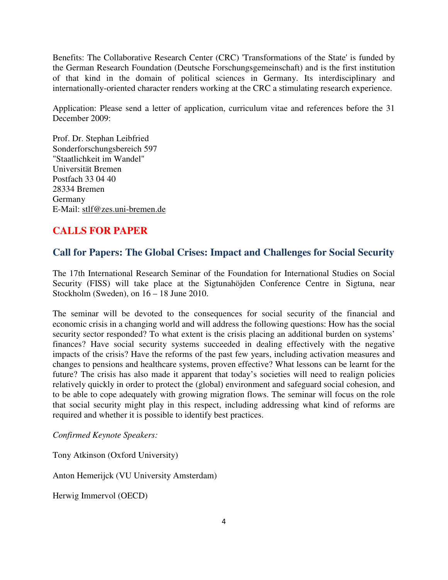Benefits: The Collaborative Research Center (CRC) 'Transformations of the State' is funded by the German Research Foundation (Deutsche Forschungsgemeinschaft) and is the first institution of that kind in the domain of political sciences in Germany. Its interdisciplinary and internationally-oriented character renders working at the CRC a stimulating research experience.

Application: Please send a letter of application, curriculum vitae and references before the 31 December 2009:

Prof. Dr. Stephan Leibfried Sonderforschungsbereich 597 "Staatlichkeit im Wandel" Universität Bremen Postfach 33 04 40 28334 Bremen Germany E-Mail: stlf@zes.uni-bremen.de

# **CALLS FOR PAPER**

### **Call for Papers: The Global Crises: Impact and Challenges for Social Security**

The 17th International Research Seminar of the Foundation for International Studies on Social Security (FISS) will take place at the Sigtunahöjden Conference Centre in Sigtuna, near Stockholm (Sweden), on 16 – 18 June 2010.

The seminar will be devoted to the consequences for social security of the financial and economic crisis in a changing world and will address the following questions: How has the social security sector responded? To what extent is the crisis placing an additional burden on systems' finances? Have social security systems succeeded in dealing effectively with the negative impacts of the crisis? Have the reforms of the past few years, including activation measures and changes to pensions and healthcare systems, proven effective? What lessons can be learnt for the future? The crisis has also made it apparent that today's societies will need to realign policies relatively quickly in order to protect the (global) environment and safeguard social cohesion, and to be able to cope adequately with growing migration flows. The seminar will focus on the role that social security might play in this respect, including addressing what kind of reforms are required and whether it is possible to identify best practices.

*Confirmed Keynote Speakers:* 

Tony Atkinson (Oxford University)

Anton Hemerijck (VU University Amsterdam)

Herwig Immervol (OECD)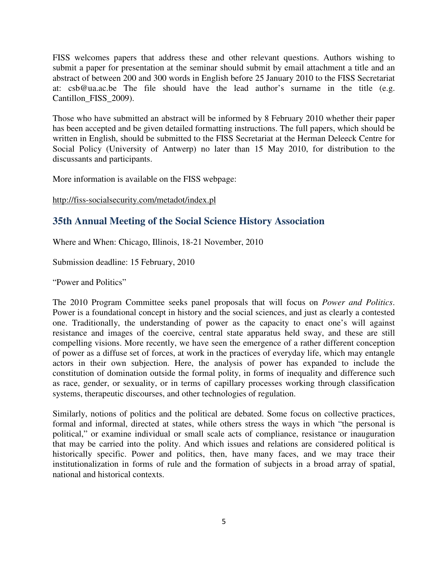FISS welcomes papers that address these and other relevant questions. Authors wishing to submit a paper for presentation at the seminar should submit by email attachment a title and an abstract of between 200 and 300 words in English before 25 January 2010 to the FISS Secretariat at: csb@ua.ac.be The file should have the lead author's surname in the title (e.g. Cantillon\_FISS\_2009).

Those who have submitted an abstract will be informed by 8 February 2010 whether their paper has been accepted and be given detailed formatting instructions. The full papers, which should be written in English, should be submitted to the FISS Secretariat at the Herman Deleeck Centre for Social Policy (University of Antwerp) no later than 15 May 2010, for distribution to the discussants and participants.

More information is available on the FISS webpage:

### http://fiss-socialsecurity.com/metadot/index.pl

### **35th Annual Meeting of the Social Science History Association**

Where and When: Chicago, Illinois, 18-21 November, 2010

Submission deadline: 15 February, 2010

"Power and Politics"

The 2010 Program Committee seeks panel proposals that will focus on *Power and Politics*. Power is a foundational concept in history and the social sciences, and just as clearly a contested one. Traditionally, the understanding of power as the capacity to enact one's will against resistance and images of the coercive, central state apparatus held sway, and these are still compelling visions. More recently, we have seen the emergence of a rather different conception of power as a diffuse set of forces, at work in the practices of everyday life, which may entangle actors in their own subjection. Here, the analysis of power has expanded to include the constitution of domination outside the formal polity, in forms of inequality and difference such as race, gender, or sexuality, or in terms of capillary processes working through classification systems, therapeutic discourses, and other technologies of regulation.

Similarly, notions of politics and the political are debated. Some focus on collective practices, formal and informal, directed at states, while others stress the ways in which "the personal is political," or examine individual or small scale acts of compliance, resistance or inauguration that may be carried into the polity. And which issues and relations are considered political is historically specific. Power and politics, then, have many faces, and we may trace their institutionalization in forms of rule and the formation of subjects in a broad array of spatial, national and historical contexts.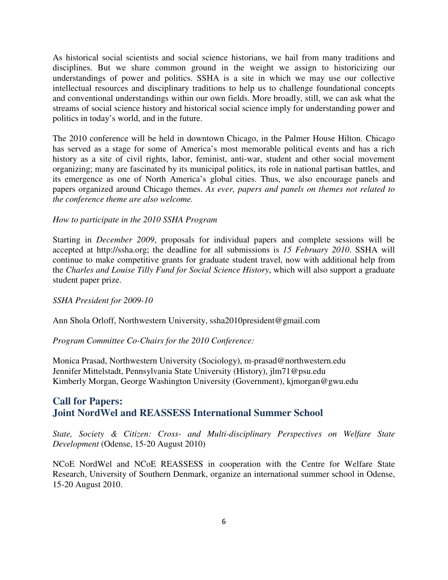As historical social scientists and social science historians, we hail from many traditions and disciplines. But we share common ground in the weight we assign to historicizing our understandings of power and politics. SSHA is a site in which we may use our collective intellectual resources and disciplinary traditions to help us to challenge foundational concepts and conventional understandings within our own fields. More broadly, still, we can ask what the streams of social science history and historical social science imply for understanding power and politics in today's world, and in the future.

The 2010 conference will be held in downtown Chicago, in the Palmer House Hilton. Chicago has served as a stage for some of America's most memorable political events and has a rich history as a site of civil rights, labor, feminist, anti-war, student and other social movement organizing; many are fascinated by its municipal politics, its role in national partisan battles, and its emergence as one of North America's global cities. Thus, we also encourage panels and papers organized around Chicago themes. *As ever, papers and panels on themes not related to the conference theme are also welcome.* 

#### *How to participate in the 2010 SSHA Program*

Starting in *December 2009*, proposals for individual papers and complete sessions will be accepted at http://ssha.org; the deadline for all submissions is *15 February 2010*. SSHA will continue to make competitive grants for graduate student travel, now with additional help from the *Charles and Louise Tilly Fund for Social Science History*, which will also support a graduate student paper prize.

#### *SSHA President for 2009-10*

Ann Shola Orloff, Northwestern University, ssha2010president@gmail.com

*Program Committee Co-Chairs for the 2010 Conference:* 

Monica Prasad, Northwestern University (Sociology), m-prasad@northwestern.edu Jennifer Mittelstadt, Pennsylvania State University (History), jlm71@psu.edu Kimberly Morgan, George Washington University (Government), kjmorgan@gwu.edu

### **Call for Papers: Joint NordWel and REASSESS International Summer School**

*State, Society & Citizen: Cross- and Multi-disciplinary Perspectives on Welfare State Development* (Odense, 15-20 August 2010)

NCoE NordWel and NCoE REASSESS in cooperation with the Centre for Welfare State Research, University of Southern Denmark, organize an international summer school in Odense, 15-20 August 2010.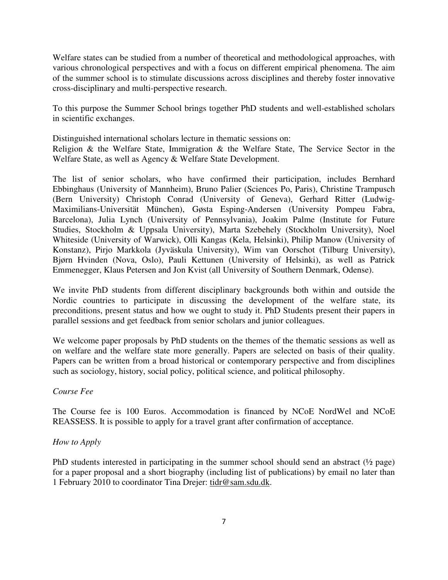Welfare states can be studied from a number of theoretical and methodological approaches, with various chronological perspectives and with a focus on different empirical phenomena. The aim of the summer school is to stimulate discussions across disciplines and thereby foster innovative cross-disciplinary and multi-perspective research.

To this purpose the Summer School brings together PhD students and well-established scholars in scientific exchanges.

Distinguished international scholars lecture in thematic sessions on: Religion & the Welfare State, Immigration & the Welfare State, The Service Sector in the Welfare State, as well as Agency & Welfare State Development.

The list of senior scholars, who have confirmed their participation, includes Bernhard Ebbinghaus (University of Mannheim), Bruno Palier (Sciences Po, Paris), Christine Trampusch (Bern University) Christoph Conrad (University of Geneva), Gerhard Ritter (Ludwig-Maximilians-Universität München), Gøsta Esping-Andersen (University Pompeu Fabra, Barcelona), Julia Lynch (University of Pennsylvania), Joakim Palme (Institute for Future Studies, Stockholm & Uppsala University), Marta Szebehely (Stockholm University), Noel Whiteside (University of Warwick), Olli Kangas (Kela, Helsinki), Philip Manow (University of Konstanz), Pirjo Markkola (Jyväskula University), Wim van Oorschot (Tilburg University), Bjørn Hvinden (Nova, Oslo), Pauli Kettunen (University of Helsinki), as well as Patrick Emmenegger, Klaus Petersen and Jon Kvist (all University of Southern Denmark, Odense).

We invite PhD students from different disciplinary backgrounds both within and outside the Nordic countries to participate in discussing the development of the welfare state, its preconditions, present status and how we ought to study it. PhD Students present their papers in parallel sessions and get feedback from senior scholars and junior colleagues.

We welcome paper proposals by PhD students on the themes of the thematic sessions as well as on welfare and the welfare state more generally. Papers are selected on basis of their quality. Papers can be written from a broad historical or contemporary perspective and from disciplines such as sociology, history, social policy, political science, and political philosophy.

### *Course Fee*

The Course fee is 100 Euros. Accommodation is financed by NCoE NordWel and NCoE REASSESS. It is possible to apply for a travel grant after confirmation of acceptance.

#### *How to Apply*

PhD students interested in participating in the summer school should send an abstract (½ page) for a paper proposal and a short biography (including list of publications) by email no later than 1 February 2010 to coordinator Tina Drejer: tidr@sam.sdu.dk.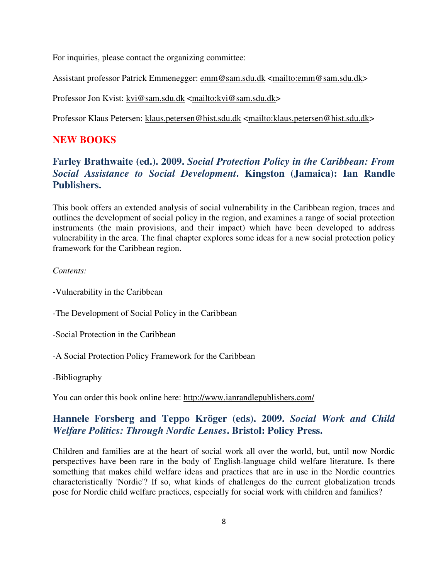For inquiries, please contact the organizing committee:

Assistant professor Patrick Emmenegger: emm@sam.sdu.dk <mailto:emm@sam.sdu.dk>

Professor Jon Kvist: kvi@sam.sdu.dk <mailto:kvi@sam.sdu.dk>

Professor Klaus Petersen: klaus.petersen@hist.sdu.dk <mailto:klaus.petersen@hist.sdu.dk>

### **NEW BOOKS**

# **Farley Brathwaite (ed.). 2009.** *Social Protection Policy in the Caribbean: From Social Assistance to Social Development***. Kingston (Jamaica): Ian Randle Publishers.**

This book offers an extended analysis of social vulnerability in the Caribbean region, traces and outlines the development of social policy in the region, and examines a range of social protection instruments (the main provisions, and their impact) which have been developed to address vulnerability in the area. The final chapter explores some ideas for a new social protection policy framework for the Caribbean region.

### *Contents:*

- -Vulnerability in the Caribbean
- -The Development of Social Policy in the Caribbean
- -Social Protection in the Caribbean
- -A Social Protection Policy Framework for the Caribbean

-Bibliography

You can order this book online here: http://www.ianrandlepublishers.com/

### **Hannele Forsberg and Teppo Kröger (eds). 2009.** *Social Work and Child Welfare Politics: Through Nordic Lenses***. Bristol: Policy Press.**

Children and families are at the heart of social work all over the world, but, until now Nordic perspectives have been rare in the body of English-language child welfare literature. Is there something that makes child welfare ideas and practices that are in use in the Nordic countries characteristically 'Nordic'? If so, what kinds of challenges do the current globalization trends pose for Nordic child welfare practices, especially for social work with children and families?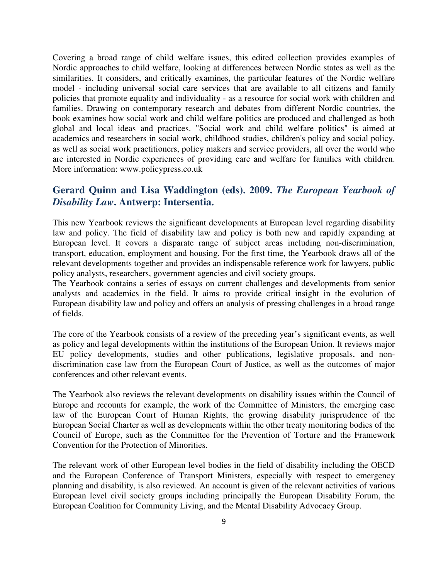Covering a broad range of child welfare issues, this edited collection provides examples of Nordic approaches to child welfare, looking at differences between Nordic states as well as the similarities. It considers, and critically examines, the particular features of the Nordic welfare model - including universal social care services that are available to all citizens and family policies that promote equality and individuality - as a resource for social work with children and families. Drawing on contemporary research and debates from different Nordic countries, the book examines how social work and child welfare politics are produced and challenged as both global and local ideas and practices. "Social work and child welfare politics" is aimed at academics and researchers in social work, childhood studies, children's policy and social policy, as well as social work practitioners, policy makers and service providers, all over the world who are interested in Nordic experiences of providing care and welfare for families with children. More information: www.policypress.co.uk

### **Gerard Quinn and Lisa Waddington (eds). 2009.** *The European Yearbook of Disability Law***. Antwerp: Intersentia.**

This new Yearbook reviews the significant developments at European level regarding disability law and policy. The field of disability law and policy is both new and rapidly expanding at European level. It covers a disparate range of subject areas including non-discrimination, transport, education, employment and housing. For the first time, the Yearbook draws all of the relevant developments together and provides an indispensable reference work for lawyers, public policy analysts, researchers, government agencies and civil society groups.

The Yearbook contains a series of essays on current challenges and developments from senior analysts and academics in the field. It aims to provide critical insight in the evolution of European disability law and policy and offers an analysis of pressing challenges in a broad range of fields.

The core of the Yearbook consists of a review of the preceding year's significant events, as well as policy and legal developments within the institutions of the European Union. It reviews major EU policy developments, studies and other publications, legislative proposals, and nondiscrimination case law from the European Court of Justice, as well as the outcomes of major conferences and other relevant events.

The Yearbook also reviews the relevant developments on disability issues within the Council of Europe and recounts for example, the work of the Committee of Ministers, the emerging case law of the European Court of Human Rights, the growing disability jurisprudence of the European Social Charter as well as developments within the other treaty monitoring bodies of the Council of Europe, such as the Committee for the Prevention of Torture and the Framework Convention for the Protection of Minorities.

The relevant work of other European level bodies in the field of disability including the OECD and the European Conference of Transport Ministers, especially with respect to emergency planning and disability, is also reviewed. An account is given of the relevant activities of various European level civil society groups including principally the European Disability Forum, the European Coalition for Community Living, and the Mental Disability Advocacy Group.